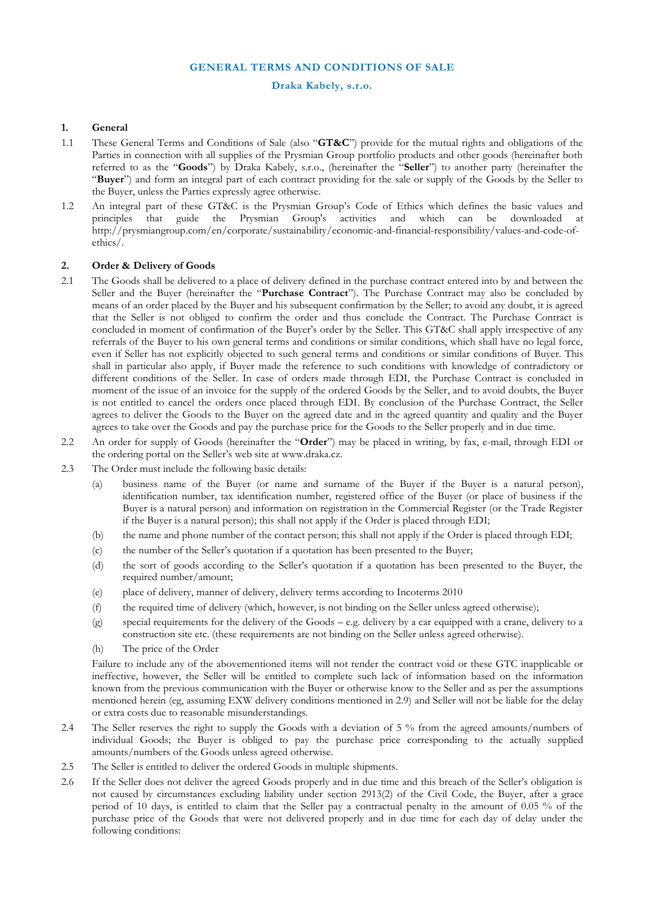# **GENERAL TERMS AND CONDITIONS OF SALE**

#### **Draka Kabely, s.r.o.**

#### **1. General**

- 1.1 These General Terms and Conditions of Sale (also "**GT&C**") provide for the mutual rights and obligations of the Parties in connection with all supplies of the Prysmian Group portfolio products and other goods (hereinafter both referred to as the "**Goods**") by Draka Kabely, s.r.o., (hereinafter the "**Seller**") to another party (hereinafter the "**Buyer**") and form an integral part of each contract providing for the sale or supply of the Goods by the Seller to the Buyer, unless the Parties expressly agree otherwise.
- 1.2 An integral part of these GT&C is the Prysmian Group's Code of Ethics which defines the basic values and principles that guide the Prysmian Group's activities and which can be downloaded at http://prysmiangroup.com/en/corporate/sustainability/economic-and-financial-responsibility/values-and-code-ofethics/.

# **2. Order & Delivery of Goods**

- 2.1 The Goods shall be delivered to a place of delivery defined in the purchase contract entered into by and between the Seller and the Buyer (hereinafter the "**Purchase Contract**"). The Purchase Contract may also be concluded by means of an order placed by the Buyer and his subsequent confirmation by the Seller; to avoid any doubt, it is agreed that the Seller is not obliged to confirm the order and thus conclude the Contract. The Purchase Contract is concluded in moment of confirmation of the Buyer's order by the Seller. This GT&C shall apply irrespective of any referrals of the Buyer to his own general terms and conditions or similar conditions, which shall have no legal force, even if Seller has not explicitly objected to such general terms and conditions or similar conditions of Buyer. This shall in particular also apply, if Buyer made the reference to such conditions with knowledge of contradictory or different conditions of the Seller. In case of orders made through EDI, the Purchase Contract is concluded in moment of the issue of an invoice for the supply of the ordered Goods by the Seller, and to avoid doubts, the Buyer is not entitled to cancel the orders once placed through EDI. By conclusion of the Purchase Contract, the Seller agrees to deliver the Goods to the Buyer on the agreed date and in the agreed quantity and quality and the Buyer agrees to take over the Goods and pay the purchase price for the Goods to the Seller properly and in due time.
- 2.2 An order for supply of Goods (hereinafter the "**Order**") may be placed in writing, by fax, e-mail, through EDI or the ordering portal on the Seller's web site at www.draka.cz.
- 2.3 The Order must include the following basic details:
	- (a) business name of the Buyer (or name and surname of the Buyer if the Buyer is a natural person), identification number, tax identification number, registered office of the Buyer (or place of business if the Buyer is a natural person) and information on registration in the Commercial Register (or the Trade Register if the Buyer is a natural person); this shall not apply if the Order is placed through EDI;
	- (b) the name and phone number of the contact person; this shall not apply if the Order is placed through EDI;
	- (c) the number of the Seller's quotation if a quotation has been presented to the Buyer;
	- (d) the sort of goods according to the Seller's quotation if a quotation has been presented to the Buyer, the required number/amount;
	- (e) place of delivery, manner of delivery, delivery terms according to Incoterms 2010
	- (f) the required time of delivery (which, however, is not binding on the Seller unless agreed otherwise);
	- (g) special requirements for the delivery of the Goods e.g. delivery by a car equipped with a crane, delivery to a construction site etc. (these requirements are not binding on the Seller unless agreed otherwise).
	- (h) The price of the Order

Failure to include any of the abovementioned items will not render the contract void or these GTC inapplicable or ineffective, however, the Seller will be entitled to complete such lack of information based on the information known from the previous communication with the Buyer or otherwise know to the Seller and as per the assumptions mentioned herein (eg, assuming EXW delivery conditions mentioned in 2.9) and Seller will not be liable for the delay or extra costs due to reasonable misunderstandings.

- 2.4 The Seller reserves the right to supply the Goods with a deviation of 5 % from the agreed amounts/numbers of individual Goods; the Buyer is obliged to pay the purchase price corresponding to the actually supplied amounts/numbers of the Goods unless agreed otherwise.
- 2.5 The Seller is entitled to deliver the ordered Goods in multiple shipments.
- 2.6 If the Seller does not deliver the agreed Goods properly and in due time and this breach of the Seller's obligation is not caused by circumstances excluding liability under section 2913(2) of the Civil Code, the Buyer, after a grace period of 10 days, is entitled to claim that the Seller pay a contractual penalty in the amount of 0.05 % of the purchase price of the Goods that were not delivered properly and in due time for each day of delay under the following conditions: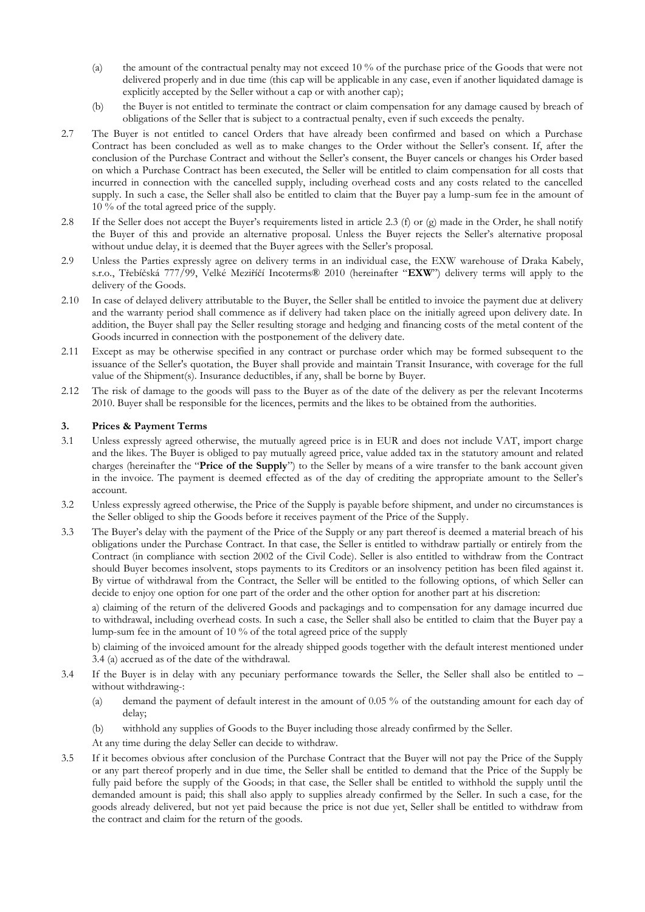- (a) the amount of the contractual penalty may not exceed 10 % of the purchase price of the Goods that were not delivered properly and in due time (this cap will be applicable in any case, even if another liquidated damage is explicitly accepted by the Seller without a cap or with another cap);
- (b) the Buyer is not entitled to terminate the contract or claim compensation for any damage caused by breach of obligations of the Seller that is subject to a contractual penalty, even if such exceeds the penalty.
- 2.7 The Buyer is not entitled to cancel Orders that have already been confirmed and based on which a Purchase Contract has been concluded as well as to make changes to the Order without the Seller's consent. If, after the conclusion of the Purchase Contract and without the Seller's consent, the Buyer cancels or changes his Order based on which a Purchase Contract has been executed, the Seller will be entitled to claim compensation for all costs that incurred in connection with the cancelled supply, including overhead costs and any costs related to the cancelled supply. In such a case, the Seller shall also be entitled to claim that the Buyer pay a lump-sum fee in the amount of 10 % of the total agreed price of the supply.
- 2.8 If the Seller does not accept the Buyer's requirements listed in article 2.3 (f) or (g) made in the Order, he shall notify the Buyer of this and provide an alternative proposal. Unless the Buyer rejects the Seller's alternative proposal without undue delay, it is deemed that the Buyer agrees with the Seller's proposal.
- 2.9 Unless the Parties expressly agree on delivery terms in an individual case, the EXW warehouse of Draka Kabely, s.r.o., Třebíčská 777/99, Velké Meziříčí Incoterms® 2010 (hereinafter "**EXW**") delivery terms will apply to the delivery of the Goods.
- 2.10 In case of delayed delivery attributable to the Buyer, the Seller shall be entitled to invoice the payment due at delivery and the warranty period shall commence as if delivery had taken place on the initially agreed upon delivery date. In addition, the Buyer shall pay the Seller resulting storage and hedging and financing costs of the metal content of the Goods incurred in connection with the postponement of the delivery date.
- 2.11 Except as may be otherwise specified in any contract or purchase order which may be formed subsequent to the issuance of the Seller's quotation, the Buyer shall provide and maintain Transit Insurance, with coverage for the full value of the Shipment(s). Insurance deductibles, if any, shall be borne by Buyer.
- 2.12 The risk of damage to the goods will pass to the Buyer as of the date of the delivery as per the relevant Incoterms 2010. Buyer shall be responsible for the licences, permits and the likes to be obtained from the authorities.

# **3. Prices & Payment Terms**

- 3.1 Unless expressly agreed otherwise, the mutually agreed price is in EUR and does not include VAT, import charge and the likes. The Buyer is obliged to pay mutually agreed price, value added tax in the statutory amount and related charges (hereinafter the "**Price of the Supply**") to the Seller by means of a wire transfer to the bank account given in the invoice. The payment is deemed effected as of the day of crediting the appropriate amount to the Seller's account.
- 3.2 Unless expressly agreed otherwise, the Price of the Supply is payable before shipment, and under no circumstances is the Seller obliged to ship the Goods before it receives payment of the Price of the Supply.
- 3.3 The Buyer's delay with the payment of the Price of the Supply or any part thereof is deemed a material breach of his obligations under the Purchase Contract. In that case, the Seller is entitled to withdraw partially or entirely from the Contract (in compliance with section 2002 of the Civil Code). Seller is also entitled to withdraw from the Contract should Buyer becomes insolvent, stops payments to its Creditors or an insolvency petition has been filed against it. By virtue of withdrawal from the Contract, the Seller will be entitled to the following options, of which Seller can decide to enjoy one option for one part of the order and the other option for another part at his discretion:

a) claiming of the return of the delivered Goods and packagings and to compensation for any damage incurred due to withdrawal, including overhead costs. In such a case, the Seller shall also be entitled to claim that the Buyer pay a lump-sum fee in the amount of 10 % of the total agreed price of the supply

b) claiming of the invoiced amount for the already shipped goods together with the default interest mentioned under 3.4 (a) accrued as of the date of the withdrawal.

- 3.4 If the Buyer is in delay with any pecuniary performance towards the Seller, the Seller shall also be entitled to without withdrawing-:
	- (a) demand the payment of default interest in the amount of 0.05 % of the outstanding amount for each day of delay;
	- (b) withhold any supplies of Goods to the Buyer including those already confirmed by the Seller.
	- At any time during the delay Seller can decide to withdraw.
- 3.5 If it becomes obvious after conclusion of the Purchase Contract that the Buyer will not pay the Price of the Supply or any part thereof properly and in due time, the Seller shall be entitled to demand that the Price of the Supply be fully paid before the supply of the Goods; in that case, the Seller shall be entitled to withhold the supply until the demanded amount is paid; this shall also apply to supplies already confirmed by the Seller. In such a case, for the goods already delivered, but not yet paid because the price is not due yet, Seller shall be entitled to withdraw from the contract and claim for the return of the goods.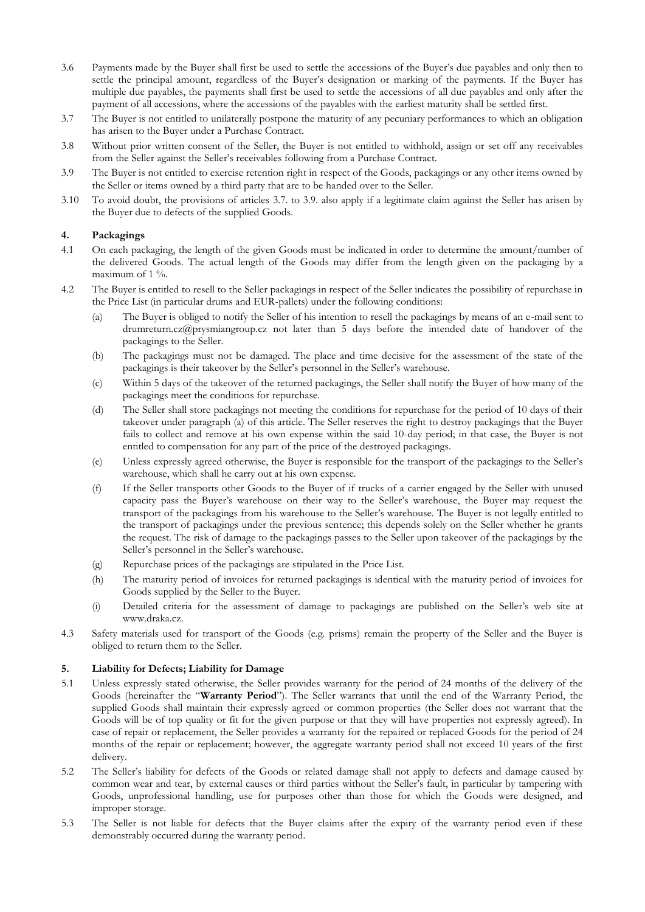- 3.6 Payments made by the Buyer shall first be used to settle the accessions of the Buyer's due payables and only then to settle the principal amount, regardless of the Buyer's designation or marking of the payments. If the Buyer has multiple due payables, the payments shall first be used to settle the accessions of all due payables and only after the payment of all accessions, where the accessions of the payables with the earliest maturity shall be settled first.
- 3.7 The Buyer is not entitled to unilaterally postpone the maturity of any pecuniary performances to which an obligation has arisen to the Buyer under a Purchase Contract.
- 3.8 Without prior written consent of the Seller, the Buyer is not entitled to withhold, assign or set off any receivables from the Seller against the Seller's receivables following from a Purchase Contract.
- 3.9 The Buyer is not entitled to exercise retention right in respect of the Goods, packagings or any other items owned by the Seller or items owned by a third party that are to be handed over to the Seller.
- 3.10 To avoid doubt, the provisions of articles 3.7. to 3.9. also apply if a legitimate claim against the Seller has arisen by the Buyer due to defects of the supplied Goods.

# **4. Packagings**

- 4.1 On each packaging, the length of the given Goods must be indicated in order to determine the amount/number of the delivered Goods. The actual length of the Goods may differ from the length given on the packaging by a maximum of 1 %.
- 4.2 The Buyer is entitled to resell to the Seller packagings in respect of the Seller indicates the possibility of repurchase in the Price List (in particular drums and EUR-pallets) under the following conditions:
	- (a) The Buyer is obliged to notify the Seller of his intention to resell the packagings by means of an e-mail sent to drumreturn.cz@prysmiangroup.cz not later than 5 days before the intended date of handover of the packagings to the Seller.
	- (b) The packagings must not be damaged. The place and time decisive for the assessment of the state of the packagings is their takeover by the Seller's personnel in the Seller's warehouse.
	- (c) Within 5 days of the takeover of the returned packagings, the Seller shall notify the Buyer of how many of the packagings meet the conditions for repurchase.
	- (d) The Seller shall store packagings not meeting the conditions for repurchase for the period of 10 days of their takeover under paragraph (a) of this article. The Seller reserves the right to destroy packagings that the Buyer fails to collect and remove at his own expense within the said 10-day period; in that case, the Buyer is not entitled to compensation for any part of the price of the destroyed packagings.
	- (e) Unless expressly agreed otherwise, the Buyer is responsible for the transport of the packagings to the Seller's warehouse, which shall he carry out at his own expense.
	- (f) If the Seller transports other Goods to the Buyer of if trucks of a carrier engaged by the Seller with unused capacity pass the Buyer's warehouse on their way to the Seller's warehouse, the Buyer may request the transport of the packagings from his warehouse to the Seller's warehouse. The Buyer is not legally entitled to the transport of packagings under the previous sentence; this depends solely on the Seller whether he grants the request. The risk of damage to the packagings passes to the Seller upon takeover of the packagings by the Seller's personnel in the Seller's warehouse.
	- (g) Repurchase prices of the packagings are stipulated in the Price List.
	- (h) The maturity period of invoices for returned packagings is identical with the maturity period of invoices for Goods supplied by the Seller to the Buyer.
	- (i) Detailed criteria for the assessment of damage to packagings are published on the Seller's web site at www.draka.cz.
- 4.3 Safety materials used for transport of the Goods (e.g. prisms) remain the property of the Seller and the Buyer is obliged to return them to the Seller.

# **5. Liability for Defects; Liability for Damage**

- 5.1 Unless expressly stated otherwise, the Seller provides warranty for the period of 24 months of the delivery of the Goods (hereinafter the "**Warranty Period**"). The Seller warrants that until the end of the Warranty Period, the supplied Goods shall maintain their expressly agreed or common properties (the Seller does not warrant that the Goods will be of top quality or fit for the given purpose or that they will have properties not expressly agreed). In case of repair or replacement, the Seller provides a warranty for the repaired or replaced Goods for the period of 24 months of the repair or replacement; however, the aggregate warranty period shall not exceed 10 years of the first delivery.
- 5.2 The Seller's liability for defects of the Goods or related damage shall not apply to defects and damage caused by common wear and tear, by external causes or third parties without the Seller's fault, in particular by tampering with Goods, unprofessional handling, use for purposes other than those for which the Goods were designed, and improper storage.
- 5.3 The Seller is not liable for defects that the Buyer claims after the expiry of the warranty period even if these demonstrably occurred during the warranty period.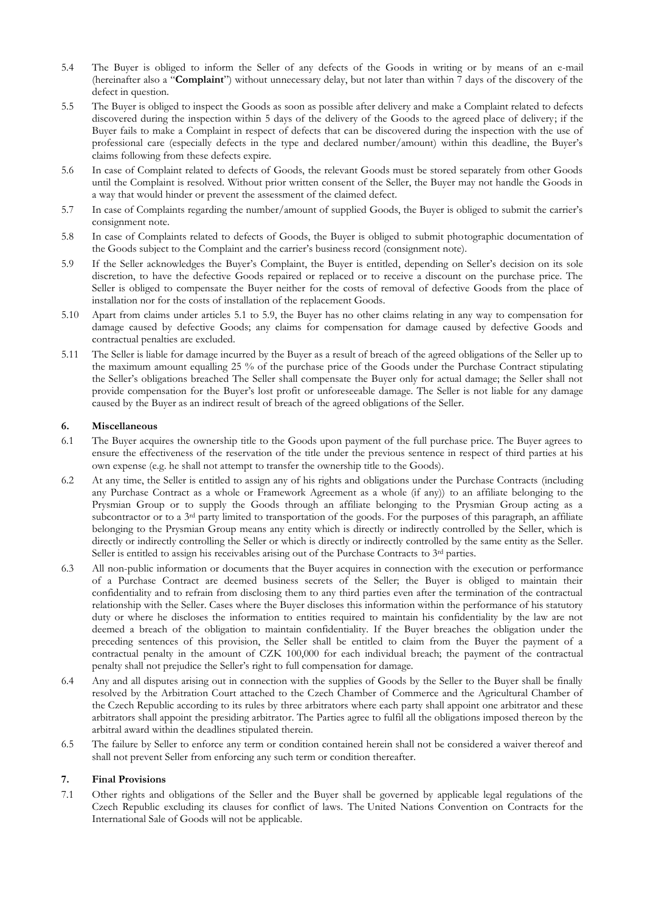- 5.4 The Buyer is obliged to inform the Seller of any defects of the Goods in writing or by means of an e-mail (hereinafter also a "**Complaint**") without unnecessary delay, but not later than within 7 days of the discovery of the defect in question.
- 5.5 The Buyer is obliged to inspect the Goods as soon as possible after delivery and make a Complaint related to defects discovered during the inspection within 5 days of the delivery of the Goods to the agreed place of delivery; if the Buyer fails to make a Complaint in respect of defects that can be discovered during the inspection with the use of professional care (especially defects in the type and declared number/amount) within this deadline, the Buyer's claims following from these defects expire.
- 5.6 In case of Complaint related to defects of Goods, the relevant Goods must be stored separately from other Goods until the Complaint is resolved. Without prior written consent of the Seller, the Buyer may not handle the Goods in a way that would hinder or prevent the assessment of the claimed defect.
- 5.7 In case of Complaints regarding the number/amount of supplied Goods, the Buyer is obliged to submit the carrier's consignment note.
- 5.8 In case of Complaints related to defects of Goods, the Buyer is obliged to submit photographic documentation of the Goods subject to the Complaint and the carrier's business record (consignment note).
- 5.9 If the Seller acknowledges the Buyer's Complaint, the Buyer is entitled, depending on Seller's decision on its sole discretion, to have the defective Goods repaired or replaced or to receive a discount on the purchase price. The Seller is obliged to compensate the Buyer neither for the costs of removal of defective Goods from the place of installation nor for the costs of installation of the replacement Goods.
- 5.10 Apart from claims under articles 5.1 to 5.9, the Buyer has no other claims relating in any way to compensation for damage caused by defective Goods; any claims for compensation for damage caused by defective Goods and contractual penalties are excluded.
- 5.11 The Seller is liable for damage incurred by the Buyer as a result of breach of the agreed obligations of the Seller up to the maximum amount equalling 25 % of the purchase price of the Goods under the Purchase Contract stipulating the Seller's obligations breached The Seller shall compensate the Buyer only for actual damage; the Seller shall not provide compensation for the Buyer's lost profit or unforeseeable damage. The Seller is not liable for any damage caused by the Buyer as an indirect result of breach of the agreed obligations of the Seller.

# **6. Miscellaneous**

- 6.1 The Buyer acquires the ownership title to the Goods upon payment of the full purchase price. The Buyer agrees to ensure the effectiveness of the reservation of the title under the previous sentence in respect of third parties at his own expense (e.g. he shall not attempt to transfer the ownership title to the Goods).
- 6.2 At any time, the Seller is entitled to assign any of his rights and obligations under the Purchase Contracts (including any Purchase Contract as a whole or Framework Agreement as a whole (if any)) to an affiliate belonging to the Prysmian Group or to supply the Goods through an affiliate belonging to the Prysmian Group acting as a subcontractor or to a 3<sup>rd</sup> party limited to transportation of the goods. For the purposes of this paragraph, an affiliate belonging to the Prysmian Group means any entity which is directly or indirectly controlled by the Seller, which is directly or indirectly controlling the Seller or which is directly or indirectly controlled by the same entity as the Seller. Seller is entitled to assign his receivables arising out of the Purchase Contracts to 3<sup>rd</sup> parties.
- 6.3 All non-public information or documents that the Buyer acquires in connection with the execution or performance of a Purchase Contract are deemed business secrets of the Seller; the Buyer is obliged to maintain their confidentiality and to refrain from disclosing them to any third parties even after the termination of the contractual relationship with the Seller. Cases where the Buyer discloses this information within the performance of his statutory duty or where he discloses the information to entities required to maintain his confidentiality by the law are not deemed a breach of the obligation to maintain confidentiality. If the Buyer breaches the obligation under the preceding sentences of this provision, the Seller shall be entitled to claim from the Buyer the payment of a contractual penalty in the amount of CZK 100,000 for each individual breach; the payment of the contractual penalty shall not prejudice the Seller's right to full compensation for damage.
- 6.4 Any and all disputes arising out in connection with the supplies of Goods by the Seller to the Buyer shall be finally resolved by the Arbitration Court attached to the Czech Chamber of Commerce and the Agricultural Chamber of the Czech Republic according to its rules by three arbitrators where each party shall appoint one arbitrator and these arbitrators shall appoint the presiding arbitrator. The Parties agree to fulfil all the obligations imposed thereon by the arbitral award within the deadlines stipulated therein.
- 6.5 The failure by Seller to enforce any term or condition contained herein shall not be considered a waiver thereof and shall not prevent Seller from enforcing any such term or condition thereafter.

# **7. Final Provisions**

7.1 Other rights and obligations of the Seller and the Buyer shall be governed by applicable legal regulations of the Czech Republic excluding its clauses for conflict of laws. The United Nations Convention on Contracts for the International Sale of Goods will not be applicable.